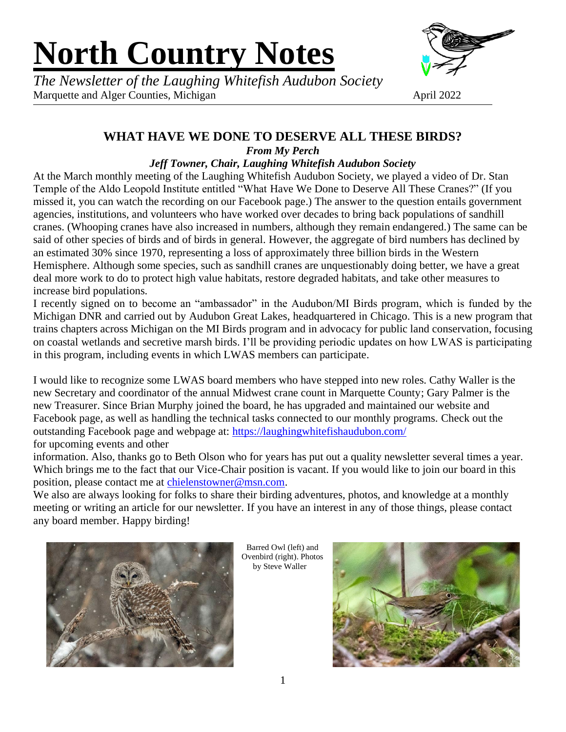# **North Country Notes**



*The Newsletter of the Laughing Whitefish Audubon Society* Marquette and Alger Counties, Michigan April 2022

# **WHAT HAVE WE DONE TO DESERVE ALL THESE BIRDS?**

*From My Perch*

#### *Jeff Towner, Chair, Laughing Whitefish Audubon Society*

At the March monthly meeting of the Laughing Whitefish Audubon Society, we played a video of Dr. Stan Temple of the Aldo Leopold Institute entitled "What Have We Done to Deserve All These Cranes?" (If you missed it, you can watch the recording on our Facebook page.) The answer to the question entails government agencies, institutions, and volunteers who have worked over decades to bring back populations of sandhill cranes. (Whooping cranes have also increased in numbers, although they remain endangered.) The same can be said of other species of birds and of birds in general. However, the aggregate of bird numbers has declined by an estimated 30% since 1970, representing a loss of approximately three billion birds in the Western Hemisphere. Although some species, such as sandhill cranes are unquestionably doing better, we have a great deal more work to do to protect high value habitats, restore degraded habitats, and take other measures to increase bird populations.

I recently signed on to become an "ambassador" in the Audubon/MI Birds program, which is funded by the Michigan DNR and carried out by Audubon Great Lakes, headquartered in Chicago. This is a new program that trains chapters across Michigan on the MI Birds program and in advocacy for public land conservation, focusing on coastal wetlands and secretive marsh birds. I'll be providing periodic updates on how LWAS is participating in this program, including events in which LWAS members can participate.

I would like to recognize some LWAS board members who have stepped into new roles. Cathy Waller is the new Secretary and coordinator of the annual Midwest crane count in Marquette County; Gary Palmer is the new Treasurer. Since Brian Murphy joined the board, he has upgraded and maintained our website and Facebook page, as well as handling the technical tasks connected to our monthly programs. Check out the outstanding Facebook page and webpage at:<https://laughingwhitefishaudubon.com/> for upcoming events and other

information. Also, thanks go to Beth Olson who for years has put out a quality newsletter several times a year. Which brings me to the fact that our Vice-Chair position is vacant. If you would like to join our board in this position, please contact me at [chielenstowner@msn.com.](mailto:chielenstowner@msn.com)

We also are always looking for folks to share their birding adventures, photos, and knowledge at a monthly meeting or writing an article for our newsletter. If you have an interest in any of those things, please contact any board member. Happy birding!



Barred Owl (left) and Ovenbird (right). Photos by Steve Waller

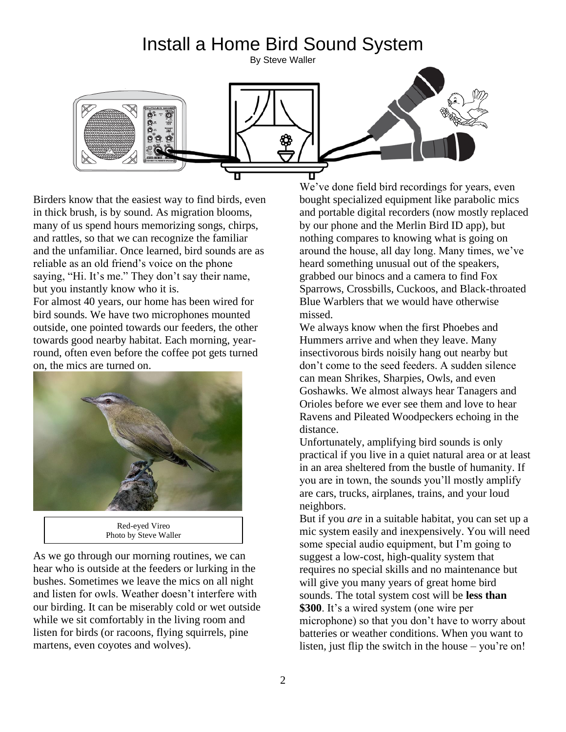#### Install a Home Bird Sound System By Steve Waller



Birders know that the easiest way to find birds, even in thick brush, is by sound. As migration blooms, many of us spend hours memorizing songs, chirps, and rattles, so that we can recognize the familiar and the unfamiliar. Once learned, bird sounds are as reliable as an old friend's voice on the phone saying, "Hi. It's me." They don't say their name, but you instantly know who it is.

For almost 40 years, our home has been wired for bird sounds. We have two microphones mounted outside, one pointed towards our feeders, the other towards good nearby habitat. Each morning, yearround, often even before the coffee pot gets turned on, the mics are turned on.



| Red-eyed Vireo        |  |
|-----------------------|--|
| Photo by Steve Waller |  |

As we go through our morning routines, we can hear who is outside at the feeders or lurking in the bushes. Sometimes we leave the mics on all night and listen for owls. Weather doesn't interfere with our birding. It can be miserably cold or wet outside while we sit comfortably in the living room and listen for birds (or racoons, flying squirrels, pine martens, even coyotes and wolves).

We've done field bird recordings for years, even bought specialized equipment like parabolic mics and portable digital recorders (now mostly replaced by our phone and the Merlin Bird ID app), but nothing compares to knowing what is going on around the house, all day long. Many times, we've heard something unusual out of the speakers, grabbed our binocs and a camera to find Fox Sparrows, Crossbills, Cuckoos, and Black-throated Blue Warblers that we would have otherwise missed.

We always know when the first Phoebes and Hummers arrive and when they leave. Many insectivorous birds noisily hang out nearby but don't come to the seed feeders. A sudden silence can mean Shrikes, Sharpies, Owls, and even Goshawks. We almost always hear Tanagers and Orioles before we ever see them and love to hear Ravens and Pileated Woodpeckers echoing in the distance.

Unfortunately, amplifying bird sounds is only practical if you live in a quiet natural area or at least in an area sheltered from the bustle of humanity. If you are in town, the sounds you'll mostly amplify are cars, trucks, airplanes, trains, and your loud neighbors.

But if you *are* in a suitable habitat, you can set up a mic system easily and inexpensively. You will need some special audio equipment, but I'm going to suggest a low-cost, high-quality system that requires no special skills and no maintenance but will give you many years of great home bird sounds. The total system cost will be **less than \$300**. It's a wired system (one wire per microphone) so that you don't have to worry about batteries or weather conditions. When you want to listen, just flip the switch in the house – you're on!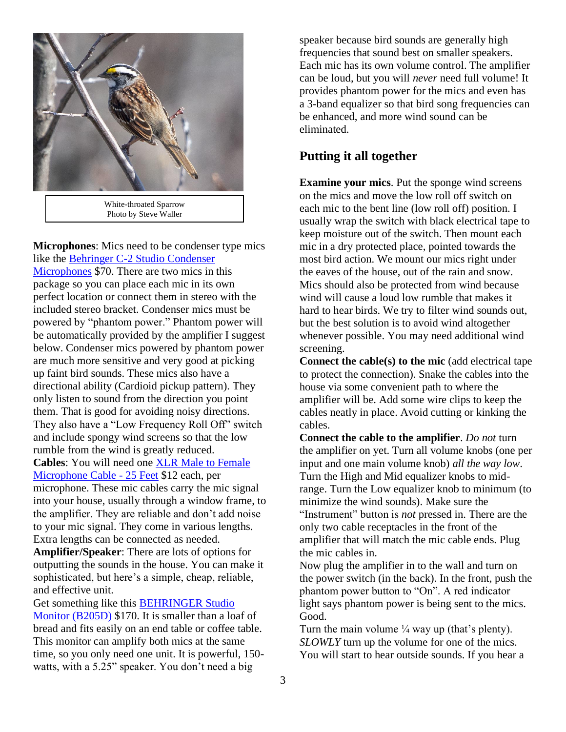

White-throated Sparrow Photo by Steve Waller

**Microphones**: Mics need to be condenser type mics like the [Behringer C-2 Studio Condenser](https://www.amazon.com/gp/product/B000CZ0RLU/ref=ppx_yo_dt_b_search_asin_title?ie=UTF8&psc=1)  [Microphones](https://www.amazon.com/gp/product/B000CZ0RLU/ref=ppx_yo_dt_b_search_asin_title?ie=UTF8&psc=1) \$70. There are two mics in this package so you can place each mic in its own perfect location or connect them in stereo with the included stereo bracket. Condenser mics must be powered by "phantom power." Phantom power will be automatically provided by the amplifier I suggest below. Condenser mics powered by phantom power are much more sensitive and very good at picking up faint bird sounds. These mics also have a directional ability (Cardioid pickup pattern). They only listen to sound from the direction you point them. That is good for avoiding noisy directions. They also have a "Low Frequency Roll Off" switch and include spongy wind screens so that the low rumble from the wind is greatly reduced. **Cables**: You will need one [XLR Male to Female](https://www.amazon.com/AmazonBasics-Male-Female-Microphone-Cable/dp/B01JNLUMMW/ref=pd_bxgy_1/140-6157799-3646059?pd_rd_w=hiXfZ&pf_rd_p=c64372fa-c41c-422e-990d-9e034f73989b&pf_rd_r=Y7QCEC6CT7842Q8BVYAX&pd_rd_r=c2eaffd8-facc-43a8-8011-4ae0c87fa840&pd_rd_wg=IOd9Q&pd_rd_i=B01JNLTTKS&th=1)  [Microphone Cable -](https://www.amazon.com/AmazonBasics-Male-Female-Microphone-Cable/dp/B01JNLUMMW/ref=pd_bxgy_1/140-6157799-3646059?pd_rd_w=hiXfZ&pf_rd_p=c64372fa-c41c-422e-990d-9e034f73989b&pf_rd_r=Y7QCEC6CT7842Q8BVYAX&pd_rd_r=c2eaffd8-facc-43a8-8011-4ae0c87fa840&pd_rd_wg=IOd9Q&pd_rd_i=B01JNLTTKS&th=1) 25 Feet \$12 each, per

microphone. These mic cables carry the mic signal into your house, usually through a window frame, to the amplifier. They are reliable and don't add noise to your mic signal. They come in various lengths. Extra lengths can be connected as needed.

**Amplifier/Speaker**: There are lots of options for outputting the sounds in the house. You can make it sophisticated, but here's a simple, cheap, reliable, and effective unit.

Get something like this [BEHRINGER Studio](https://www.amazon.com/gp/product/B00378GEAM/ref=ppx_yo_dt_b_search_asin_title?ie=UTF8&psc=1)  [Monitor \(B205D\)](https://www.amazon.com/gp/product/B00378GEAM/ref=ppx_yo_dt_b_search_asin_title?ie=UTF8&psc=1) \$170. It is smaller than a loaf of bread and fits easily on an end table or coffee table. This monitor can amplify both mics at the same time, so you only need one unit. It is powerful, 150 watts, with a 5.25" speaker. You don't need a big

speaker because bird sounds are generally high frequencies that sound best on smaller speakers. Each mic has its own volume control. The amplifier can be loud, but you will *never* need full volume! It provides phantom power for the mics and even has a 3-band equalizer so that bird song frequencies can be enhanced, and more wind sound can be eliminated.

#### **Putting it all together**

**Examine your mics**. Put the sponge wind screens on the mics and move the low roll off switch on each mic to the bent line (low roll off) position. I usually wrap the switch with black electrical tape to keep moisture out of the switch. Then mount each mic in a dry protected place, pointed towards the most bird action. We mount our mics right under the eaves of the house, out of the rain and snow. Mics should also be protected from wind because wind will cause a loud low rumble that makes it hard to hear birds. We try to filter wind sounds out, but the best solution is to avoid wind altogether whenever possible. You may need additional wind screening.

**Connect the cable(s) to the mic** (add electrical tape to protect the connection). Snake the cables into the house via some convenient path to where the amplifier will be. Add some wire clips to keep the cables neatly in place. Avoid cutting or kinking the cables.

**Connect the cable to the amplifier**. *Do not* turn the amplifier on yet. Turn all volume knobs (one per input and one main volume knob) *all the way low*. Turn the High and Mid equalizer knobs to midrange. Turn the Low equalizer knob to minimum (to minimize the wind sounds). Make sure the "Instrument" button is *not* pressed in. There are the only two cable receptacles in the front of the amplifier that will match the mic cable ends. Plug the mic cables in.

Now plug the amplifier in to the wall and turn on the power switch (in the back). In the front, push the phantom power button to "On". A red indicator light says phantom power is being sent to the mics. Good.

Turn the main volume  $\frac{1}{4}$  way up (that's plenty). *SLOWLY* turn up the volume for one of the mics. You will start to hear outside sounds. If you hear a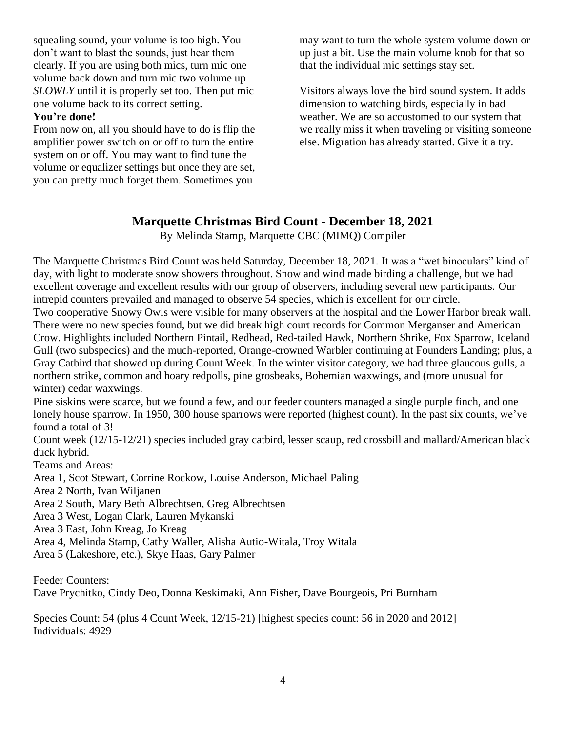squealing sound, your volume is too high. You don't want to blast the sounds, just hear them clearly. If you are using both mics, turn mic one volume back down and turn mic two volume up *SLOWLY* until it is properly set too. Then put mic one volume back to its correct setting.

#### **You're done!**

From now on, all you should have to do is flip the amplifier power switch on or off to turn the entire system on or off. You may want to find tune the volume or equalizer settings but once they are set, you can pretty much forget them. Sometimes you

may want to turn the whole system volume down or up just a bit. Use the main volume knob for that so that the individual mic settings stay set.

Visitors always love the bird sound system. It adds dimension to watching birds, especially in bad weather. We are so accustomed to our system that we really miss it when traveling or visiting someone else. Migration has already started. Give it a try.

#### **Marquette Christmas Bird Count - December 18, 2021**

By Melinda Stamp, Marquette CBC (MIMQ) Compiler

The Marquette Christmas Bird Count was held Saturday, December 18, 2021. It was a "wet binoculars" kind of day, with light to moderate snow showers throughout. Snow and wind made birding a challenge, but we had excellent coverage and excellent results with our group of observers, including several new participants. Our intrepid counters prevailed and managed to observe 54 species, which is excellent for our circle.

Two cooperative Snowy Owls were visible for many observers at the hospital and the Lower Harbor break wall. There were no new species found, but we did break high court records for Common Merganser and American Crow. Highlights included Northern Pintail, Redhead, Red-tailed Hawk, Northern Shrike, Fox Sparrow, Iceland Gull (two subspecies) and the much-reported, Orange-crowned Warbler continuing at Founders Landing; plus, a Gray Catbird that showed up during Count Week. In the winter visitor category, we had three glaucous gulls, a northern strike, common and hoary redpolls, pine grosbeaks, Bohemian waxwings, and (more unusual for winter) cedar waxwings.

Pine siskins were scarce, but we found a few, and our feeder counters managed a single purple finch, and one lonely house sparrow. In 1950, 300 house sparrows were reported (highest count). In the past six counts, we've found a total of 3!

Count week (12/15-12/21) species included gray catbird, lesser scaup, red crossbill and mallard/American black duck hybrid.

Teams and Areas:

Area 1, Scot Stewart, Corrine Rockow, Louise Anderson, Michael Paling

Area 2 North, Ivan Wiljanen

Area 2 South, Mary Beth Albrechtsen, Greg Albrechtsen

Area 3 West, Logan Clark, Lauren Mykanski

Area 3 East, John Kreag, Jo Kreag

Area 4, Melinda Stamp, Cathy Waller, Alisha Autio-Witala, Troy Witala

Area 5 (Lakeshore, etc.), Skye Haas, Gary Palmer

Feeder Counters: Dave Prychitko, Cindy Deo, Donna Keskimaki, Ann Fisher, Dave Bourgeois, Pri Burnham

Species Count: 54 (plus 4 Count Week, 12/15-21) [highest species count: 56 in 2020 and 2012] Individuals: 4929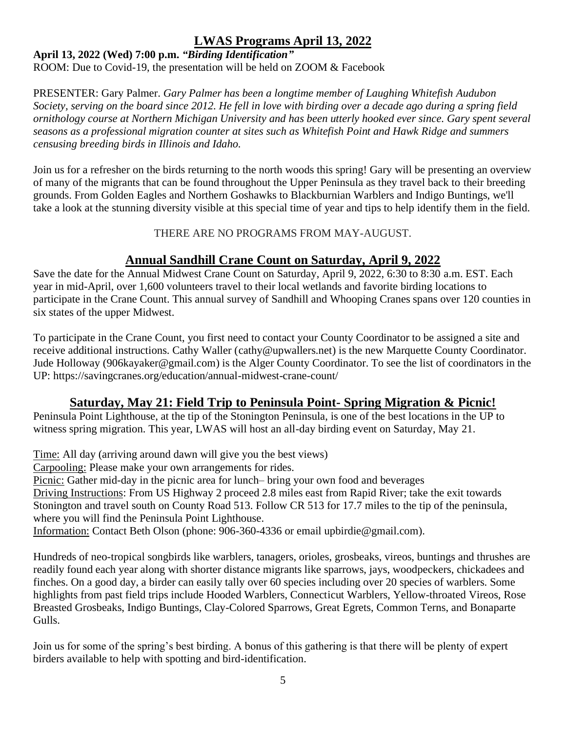#### **LWAS Programs April 13, 2022**

#### **April 13, 2022 (Wed) 7:00 p.m.** *"Birding Identification"*

ROOM: Due to Covid-19, the presentation will be held on ZOOM & Facebook

PRESENTER: Gary Palmer. *Gary Palmer has been a longtime member of Laughing Whitefish Audubon Society, serving on the board since 2012. He fell in love with birding over a decade ago during a spring field ornithology course at Northern Michigan University and has been utterly hooked ever since. Gary spent several seasons as a professional migration counter at sites such as Whitefish Point and Hawk Ridge and summers censusing breeding birds in Illinois and Idaho.*

Join us for a refresher on the birds returning to the north woods this spring! Gary will be presenting an overview of many of the migrants that can be found throughout the Upper Peninsula as they travel back to their breeding grounds. From Golden Eagles and Northern Goshawks to Blackburnian Warblers and Indigo Buntings, we'll take a look at the stunning diversity visible at this special time of year and tips to help identify them in the field.

THERE ARE NO PROGRAMS FROM MAY-AUGUST.

# **Annual Sandhill Crane Count on Saturday, April 9, 2022**

Save the date for the Annual Midwest Crane Count on Saturday, April 9, 2022, 6:30 to 8:30 a.m. EST. Each year in mid-April, over 1,600 volunteers travel to their local wetlands and favorite birding locations to participate in the Crane Count. This annual survey of Sandhill and Whooping Cranes spans over 120 counties in six states of the upper Midwest.

To participate in the Crane Count, you first need to contact your County Coordinator to be assigned a site and receive additional instructions. Cathy Waller [\(cathy@upwallers.net\)](mailto:cathy@upwallers.net) is the new Marquette County Coordinator. Jude Holloway [\(906kayaker@gmail.com\)](mailto:906kayaker@gmail.com) is the Alger County Coordinator. To see the list of coordinators in the UP:<https://savingcranes.org/education/annual-midwest-crane-count/>

# **Saturday, May 21: Field Trip to Peninsula Point- Spring Migration & Picnic!**

Peninsula Point Lighthouse, at the tip of the Stonington Peninsula, is one of the best locations in the UP to witness spring migration. This year, LWAS will host an all-day birding event on Saturday, May 21.

Time: All day (arriving around dawn will give you the best views)

Carpooling: Please make your own arrangements for rides.

Picnic: Gather mid-day in the picnic area for lunch– bring your own food and beverages Driving Instructions: From US Highway 2 proceed 2.8 miles east from Rapid River; take the exit towards Stonington and travel south on County Road 513. Follow CR 513 for 17.7 miles to the tip of the peninsula, where you will find the Peninsula Point Lighthouse.

Information: Contact Beth Olson (phone: 906-360-4336 or email [upbirdie@gmail.com\)](mailto:upbirdie@gmail.com).

Hundreds of neo-tropical songbirds like warblers, tanagers, orioles, grosbeaks, vireos, buntings and thrushes are readily found each year along with shorter distance migrants like sparrows, jays, woodpeckers, chickadees and finches. On a good day, a birder can easily tally over 60 species including over 20 species of warblers. Some highlights from past field trips include Hooded Warblers, Connecticut Warblers, Yellow-throated Vireos, Rose Breasted Grosbeaks, Indigo Buntings, Clay-Colored Sparrows, Great Egrets, Common Terns, and Bonaparte Gulls.

Join us for some of the spring's best birding. A bonus of this gathering is that there will be plenty of expert birders available to help with spotting and bird-identification.